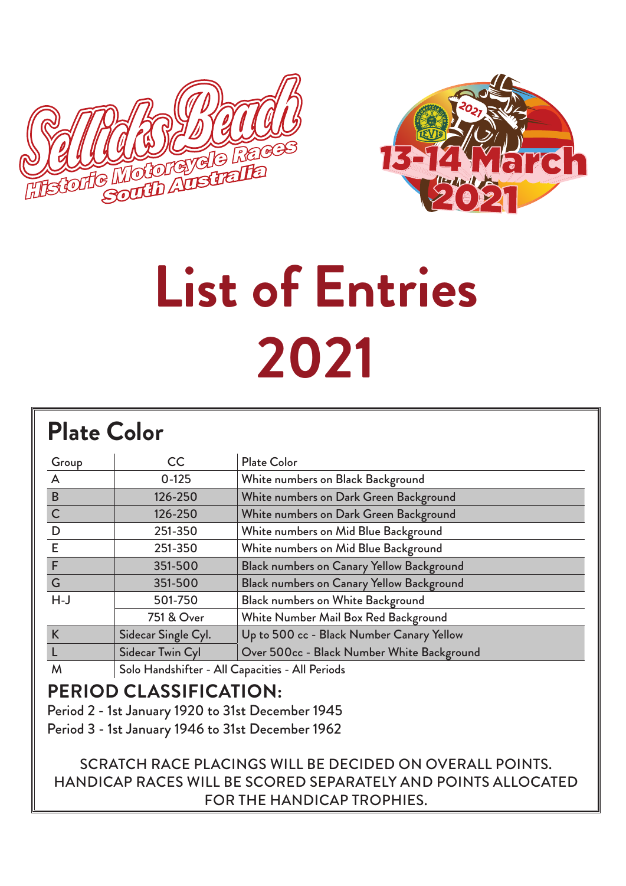



# **List of Entries 2021**

#### **Plate Color**

| Group        | <b>CC</b>                                       | <b>Plate Color</b>                         |  |  |  |
|--------------|-------------------------------------------------|--------------------------------------------|--|--|--|
| $\mathsf{A}$ | $0-125$                                         | White numbers on Black Background          |  |  |  |
| B            | 126-250                                         | White numbers on Dark Green Background     |  |  |  |
| $\mathsf{C}$ | 126-250                                         | White numbers on Dark Green Background     |  |  |  |
| D            | 251-350                                         | White numbers on Mid Blue Background       |  |  |  |
| E            | 251-350                                         | White numbers on Mid Blue Background       |  |  |  |
| F            | 351-500                                         | Black numbers on Canary Yellow Background  |  |  |  |
| G            | 351-500                                         | Black numbers on Canary Yellow Background  |  |  |  |
| $H-J$        | 501-750                                         | Black numbers on White Background          |  |  |  |
|              | 751 & Over                                      | White Number Mail Box Red Background       |  |  |  |
| K            | Sidecar Single Cyl.                             | Up to 500 cc - Black Number Canary Yellow  |  |  |  |
|              | Sidecar Twin Cyl                                | Over 500cc - Black Number White Background |  |  |  |
| M            | Solo Handshifter - All Capacities - All Periods |                                            |  |  |  |

#### **PERIOD CLASSIFICATION:**

Period 2 - 1st January 1920 to 31st December 1945

Period 3 - 1st January 1946 to 31st December 1962

SCRATCH RACE PLACINGS WILL BE DECIDED ON OVERALL POINTS. HANDICAP RACES WILL BE SCORED SEPARATELY AND POINTS ALLOCATED FOR THE HANDICAP TROPHIES.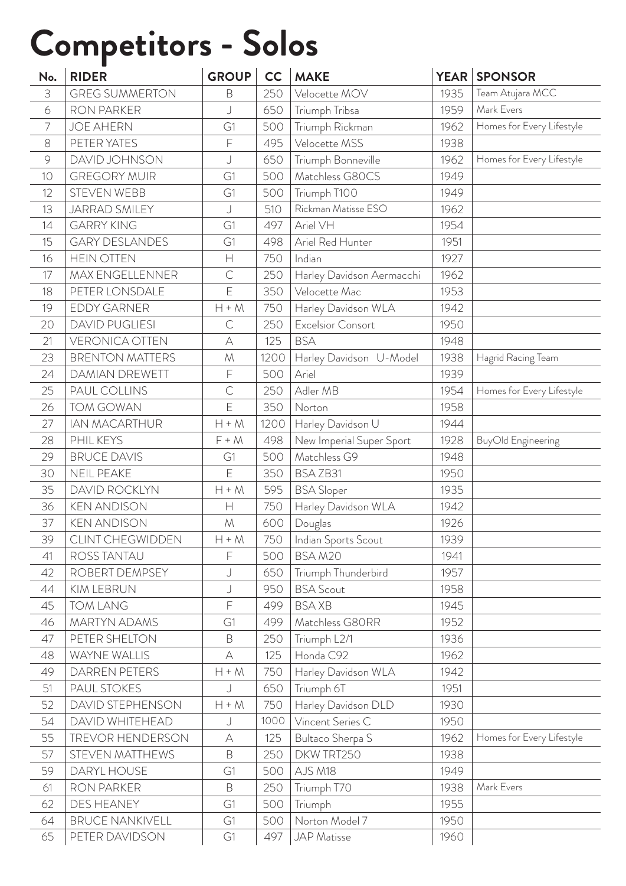### **Competitors - Solos**

| No.            | <b>RIDER</b>            | <b>GROUP</b>    | cc   | <b>MAKE</b>               | YEAR | <b>SPONSOR</b>            |
|----------------|-------------------------|-----------------|------|---------------------------|------|---------------------------|
| 3              | <b>GREG SUMMERTON</b>   | B               | 250  | Velocette MOV             | 1935 | Team Atujara MCC          |
| 6              | <b>RON PARKER</b>       | J               | 650  | Triumph Tribsa            | 1959 | Mark Evers                |
| $\overline{7}$ | <b>JOE AHERN</b>        | G1              | 500  | Triumph Rickman           | 1962 | Homes for Every Lifestyle |
| 8              | PETER YATES             | $\mathsf F$     | 495  | Velocette MSS             | 1938 |                           |
| $\circ$        | DAVID JOHNSON           | J               | 650  | Triumph Bonneville        | 1962 | Homes for Every Lifestyle |
| 10             | <b>GREGORY MUIR</b>     | G1              | 500  | Matchless G80CS           | 1949 |                           |
| 12             | <b>STEVEN WEBB</b>      | G1              | 500  | Triumph T100              | 1949 |                           |
| 13             | <b>JARRAD SMILEY</b>    | J               | 510  | Rickman Matisse ESO       | 1962 |                           |
| 14             | <b>GARRY KING</b>       | G1              | 497  | Ariel VH                  | 1954 |                           |
| 15             | <b>GARY DESLANDES</b>   | G1              | 498  | Ariel Red Hunter          | 1951 |                           |
| 16             | <b>HEIN OTTEN</b>       | $\mathsf{H}$    | 750  | Indian                    | 1927 |                           |
| 17             | <b>MAX ENGELLENNER</b>  | $\mathsf{C}$    | 250  | Harley Davidson Aermacchi | 1962 |                           |
| 18             | PETER LONSDALE          | E               | 350  | Velocette Mac             | 1953 |                           |
| 19             | <b>EDDY GARNER</b>      | $H + M$         | 750  | Harley Davidson WLA       | 1942 |                           |
| 20             | <b>DAVID PUGLIESI</b>   | $\mathsf{C}$    | 250  | Excelsior Consort         | 1950 |                           |
| 21             | <b>VERONICA OTTEN</b>   | $\forall$       | 125  | <b>BSA</b>                | 1948 |                           |
| 23             | <b>BRENTON MATTERS</b>  | ${\cal M}$      | 1200 | Harley Davidson U-Model   | 1938 | Hagrid Racing Team        |
| 24             | <b>DAMIAN DREWETT</b>   | F               | 500  | Ariel                     | 1939 |                           |
| 25             | PAUL COLLINS            | $\mathsf{C}$    | 250  | Adler MB                  | 1954 | Homes for Every Lifestyle |
| 26             | <b>TOM GOWAN</b>        | Ē               | 350  | Norton                    | 1958 |                           |
| 27             | <b>IAN MACARTHUR</b>    | $H + M$         | 1200 | Harley Davidson U         | 1944 |                           |
| 28             | PHIL KEYS               | $F + M$         | 498  | New Imperial Super Sport  | 1928 | BuyOld Engineering        |
| 29             | <b>BRUCE DAVIS</b>      | G1              | 500  | Matchless G9              | 1948 |                           |
| 30             | <b>NEIL PEAKE</b>       | E               | 350  | BSAZB31                   | 1950 |                           |
| 35             | DAVID ROCKLYN           | $H + M$         | 595  | <b>BSA Sloper</b>         | 1935 |                           |
| 36             | <b>KEN ANDISON</b>      | Н               | 750  | Harley Davidson WLA       | 1942 |                           |
| 37             | <b>KEN ANDISON</b>      | ${\mathcal{M}}$ | 600  | Douglas                   | 1926 |                           |
| 39             | <b>CLINT CHEGWIDDEN</b> | $H + M$         | 750  | Indian Sports Scout       | 1939 |                           |
| 41             | ROSS TANTAU             | F               | 500  | BSAM20                    | 1941 |                           |
| 42             | ROBERT DEMPSEY          | J               | 650  | Triumph Thunderbird       | 1957 |                           |
| 44             | KIM LEBRUN              | J               | 950  | <b>BSA Scout</b>          | 1958 |                           |
| 45             | <b>TOM LANG</b>         | F               | 499  | <b>BSAXB</b>              | 1945 |                           |
| 46             | <b>MARTYN ADAMS</b>     | G1              | 499  | Matchless G80RR           | 1952 |                           |
| 47             | PETER SHELTON           | B               | 250  | Triumph L2/1              | 1936 |                           |
| 48             | WAYNE WALLIS            | $\forall$       | 125  | Honda C92                 | 1962 |                           |
| 49             | DARREN PETERS           | $H + M$         | 750  | Harley Davidson WLA       | 1942 |                           |
| 51             | PAUL STOKES             | J               | 650  | Triumph 6T                | 1951 |                           |
| 52             | DAVID STEPHENSON        | $H + M$         | 750  | Harley Davidson DLD       | 1930 |                           |
| 54             | DAVID WHITEHEAD         | J               | 1000 | Vincent Series C          | 1950 |                           |
| 55             | <b>TREVOR HENDERSON</b> | А               | 125  | Bultaco Sherpa S          | 1962 | Homes for Every Lifestyle |
| 57             | STEVEN MATTHEWS         | B               | 250  | DKW TRT250                | 1938 |                           |
| 59             | DARYL HOUSE             | G1              | 500  | AJS M18                   | 1949 |                           |
| 61             | RON PARKER              | B               | 250  | Triumph T70               | 1938 | Mark Evers                |
| 62             | DES HEANEY              | G1              | 500  | Triumph                   | 1955 |                           |
| 64             | <b>BRUCE NANKIVELL</b>  | G1              | 500  | Norton Model 7            | 1950 |                           |
| 65             | PETER DAVIDSON          | G1              | 497  | <b>JAP</b> Matisse        | 1960 |                           |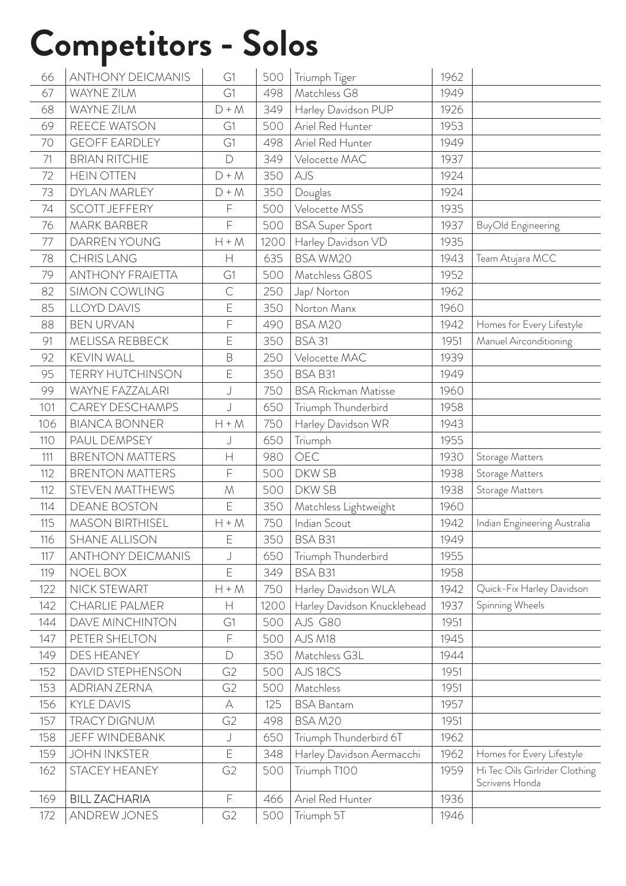#### **Competitors - Solos**

| 66  | <b>ANTHONY DEICMANIS</b> | G1             | 500  | Triumph Tiger               | 1962 |                                                  |
|-----|--------------------------|----------------|------|-----------------------------|------|--------------------------------------------------|
| 67  | WAYNE ZILM               | G1             | 498  | Matchless G8                | 1949 |                                                  |
| 68  | WAYNE ZILM               | $D + M$        | 349  | Harley Davidson PUP         | 1926 |                                                  |
| 69  | REECE WATSON             | G1             | 500  | Ariel Red Hunter            | 1953 |                                                  |
| 70  | <b>GEOFF EARDLEY</b>     | G1             | 498  | Ariel Red Hunter            | 1949 |                                                  |
| 71  | <b>BRIAN RITCHIE</b>     | $\mathsf{D}$   | 349  | Velocette MAC               | 1937 |                                                  |
| 72  | <b>HEIN OTTEN</b>        | $D + M$        | 350  | AJS                         | 1924 |                                                  |
| 73  | DYLAN MARLEY             | $D + M$        | 350  | Douglas                     | 1924 |                                                  |
| 74  | <b>SCOTT JEFFERY</b>     | F              | 500  | Velocette MSS               | 1935 |                                                  |
| 76  | <b>MARK BARBER</b>       | F              | 500  | <b>BSA Super Sport</b>      | 1937 | BuyOld Engineering                               |
| 77  | DARREN YOUNG             | $H + M$        | 1200 | Harley Davidson VD          | 1935 |                                                  |
| 78  | <b>CHRIS LANG</b>        | $\mathsf{H}$   | 635  | <b>BSA WM20</b>             | 1943 | Team Atujara MCC                                 |
| 79  | <b>ANTHONY FRAIETTA</b>  | G1             | 500  | Matchless G80S              | 1952 |                                                  |
| 82  | <b>SIMON COWLING</b>     | $\mathsf{C}$   | 250  | Jap/Norton                  | 1962 |                                                  |
| 85  | <b>LLOYD DAVIS</b>       | E              | 350  | Norton Manx                 | 1960 |                                                  |
| 88  | <b>BEN URVAN</b>         | F              | 490  | BSAM20                      | 1942 | Homes for Every Lifestyle                        |
| 91  | MELISSA REBBECK          | Е              | 350  | <b>BSA 31</b>               | 1951 | Manuel Airconditioning                           |
| 92  | <b>KEVIN WALL</b>        | B              | 250  | Velocette MAC               | 1939 |                                                  |
| 95  | <b>TERRY HUTCHINSON</b>  | Е              | 350  | BSA B31                     | 1949 |                                                  |
| 99  | WAYNE FAZZALARI          | J              | 750  | <b>BSA Rickman Matisse</b>  | 1960 |                                                  |
| 101 | <b>CAREY DESCHAMPS</b>   | J              | 650  | Triumph Thunderbird         | 1958 |                                                  |
| 106 | <b>BIANCA BONNER</b>     | $H + M$        | 750  | Harley Davidson WR          | 1943 |                                                  |
| 110 | PAUL DEMPSEY             | J              | 650  | Triumph                     | 1955 |                                                  |
| 111 | <b>BRENTON MATTERS</b>   | $\mathsf{H}$   | 980  | OEC                         | 1930 | Storage Matters                                  |
| 112 | <b>BRENTON MATTERS</b>   | F              | 500  | DKW SB                      | 1938 | Storage Matters                                  |
| 112 | STEVEN MATTHEWS          | ${\cal M}$     | 500  | <b>DKWSB</b>                | 1938 | Storage Matters                                  |
| 114 | <b>DEANE BOSTON</b>      | E              | 350  | Matchless Lightweight       | 1960 |                                                  |
| 115 | <b>MASON BIRTHISEL</b>   | $H + M$        | 750  | Indian Scout                | 1942 | Indian Engineering Australia                     |
| 116 | <b>SHANE ALLISON</b>     | E              | 350  | BSA B31                     | 1949 |                                                  |
| 117 | <b>ANTHONY DEICMANIS</b> | J              | 650  | Triumph Thunderbird         | 1955 |                                                  |
| 119 | <b>NOEL BOX</b>          | E              | 349  | <b>BSA B31</b>              | 1958 |                                                  |
| 122 | NICK STEWART             | $H + M$        | 750  | Harley Davidson WLA         | 1942 | Quick-Fix Harley Davidson                        |
| 142 | <b>CHARLIE PALMER</b>    | Н              | 1200 | Harley Davidson Knucklehead | 1937 | Spinning Wheels                                  |
| 144 | <b>DAVE MINCHINTON</b>   | G1             | 500  | AJS G80                     | 1951 |                                                  |
| 147 | PETER SHELTON            | F              | 500  | AJS M18                     | 1945 |                                                  |
| 149 | <b>DES HEANEY</b>        | $\Box$         | 350  | Matchless G3L               | 1944 |                                                  |
| 152 | DAVID STEPHENSON         | G <sub>2</sub> | 500  | AJS18CS                     | 1951 |                                                  |
| 153 | <b>ADRIAN ZERNA</b>      | G <sub>2</sub> | 500  | Matchless                   | 1951 |                                                  |
| 156 | <b>KYLE DAVIS</b>        | А              | 125  | <b>BSA Bantam</b>           | 1957 |                                                  |
| 157 | <b>TRACY DIGNUM</b>      | G <sub>2</sub> | 498  | BSAM20                      | 1951 |                                                  |
| 158 | <b>JEFF WINDEBANK</b>    | J              | 650  | Triumph Thunderbird 6T      | 1962 |                                                  |
| 159 | <b>JOHN INKSTER</b>      | E              | 348  | Harley Davidson Aermacchi   | 1962 | Homes for Every Lifestyle                        |
| 162 | STACEY HEANEY            | G <sub>2</sub> | 500  | Triumph T100                | 1959 | Hi Tec Oils Girlrider Clothing<br>Scrivens Honda |
| 169 | <b>BILL ZACHARIA</b>     | $\mathsf F$    | 466  | Ariel Red Hunter            | 1936 |                                                  |
| 172 | <b>ANDREW JONES</b>      | G <sub>2</sub> | 500  | Triumph 5T                  | 1946 |                                                  |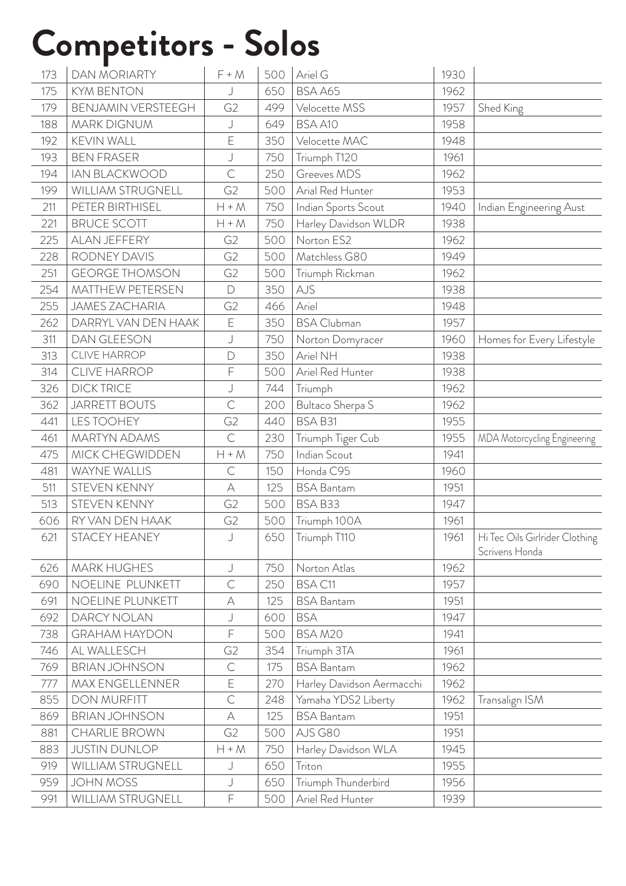#### **Competitors - Solos**

| 173 | <b>DAN MORIARTY</b>     | $F + M$        | 500 | Ariel G                   | 1930 |                                                  |
|-----|-------------------------|----------------|-----|---------------------------|------|--------------------------------------------------|
| 175 | <b>KYM BENTON</b>       | J              | 650 | BSA A65                   | 1962 |                                                  |
| 179 | BENJAMIN VERSTEEGH      | G <sub>2</sub> | 499 | Velocette MSS             | 1957 | Shed King                                        |
| 188 | <b>MARK DIGNUM</b>      | J              | 649 | BSA A10                   | 1958 |                                                  |
| 192 | KEVIN WALL              | E              | 350 | Velocette MAC             | 1948 |                                                  |
| 193 | <b>BEN FRASER</b>       | J              | 750 | Triumph T120              | 1961 |                                                  |
| 194 | <b>IAN BLACKWOOD</b>    | $\mathsf{C}$   | 250 | Greeves MDS               | 1962 |                                                  |
| 199 | WILLIAM STRUGNELL       | G <sub>2</sub> | 500 | Arial Red Hunter          | 1953 |                                                  |
| 211 | PETER BIRTHISEL         | $H + M$        | 750 | Indian Sports Scout       | 1940 | Indian Engineering Aust                          |
| 221 | <b>BRUCE SCOTT</b>      | $H + M$        | 750 | Harley Davidson WLDR      | 1938 |                                                  |
| 225 | ALAN JEFFERY            | G <sub>2</sub> | 500 | Norton ES2                | 1962 |                                                  |
| 228 | RODNEY DAVIS            | G <sub>2</sub> | 500 | Matchless G80             | 1949 |                                                  |
| 251 | <b>GEORGE THOMSON</b>   | G <sub>2</sub> | 500 | Triumph Rickman           | 1962 |                                                  |
| 254 | <b>MATTHEW PETERSEN</b> | $\Box$         | 350 | AJS                       | 1938 |                                                  |
| 255 | <b>JAMES ZACHARIA</b>   | G <sub>2</sub> | 466 | Ariel                     | 1948 |                                                  |
| 262 | DARRYL VAN DEN HAAK     | E              | 350 | <b>BSA Clubman</b>        | 1957 |                                                  |
| 311 | <b>DAN GLEESON</b>      | J              | 750 | Norton Domyracer          | 1960 | Homes for Every Lifestyle                        |
| 313 | <b>CLIVE HARROP</b>     | $\overline{D}$ | 350 | Ariel NH                  | 1938 |                                                  |
| 314 | <b>CLIVE HARROP</b>     | F              | 500 | Ariel Red Hunter          | 1938 |                                                  |
| 326 | <b>DICK TRICE</b>       | J              | 744 | Triumph                   | 1962 |                                                  |
| 362 | <b>JARRETT BOUTS</b>    | $\mathsf{C}$   | 200 | Bultaco Sherpa S          | 1962 |                                                  |
| 441 | <b>LES TOOHEY</b>       | G <sub>2</sub> | 440 | BSA B31                   | 1955 |                                                  |
| 461 | <b>MARTYN ADAMS</b>     | $\mathsf{C}$   | 230 | Triumph Tiger Cub         | 1955 | MDA Motorcycling Engineering                     |
| 475 | MICK CHEGWIDDEN         | $H + M$        | 750 | Indian Scout              | 1941 |                                                  |
| 481 | WAYNE WALLIS            | $\mathsf{C}$   | 150 | Honda C95                 | 1960 |                                                  |
| 511 | STEVEN KENNY            | A              | 125 | <b>BSA Bantam</b>         | 1951 |                                                  |
| 513 | STEVEN KENNY            | G <sub>2</sub> | 500 | BSA B33                   | 1947 |                                                  |
| 606 | RY VAN DEN HAAK         | G <sub>2</sub> | 500 | Triumph 100A              | 1961 |                                                  |
| 621 | STACEY HEANEY           | $\cup$         | 650 | Triumph T110              | 1961 | Hi Tec Oils Girlrider Clothing<br>Scrivens Honda |
| 626 | <b>MARK HUGHES</b>      | J              | 750 | Norton Atlas              | 1962 |                                                  |
| 690 | NOELINE PLUNKETT        | $\mathsf{C}$   | 250 | <b>BSA C11</b>            | 1957 |                                                  |
| 691 | NOELINE PLUNKETT        | А              | 125 | <b>BSA Bantam</b>         | 1951 |                                                  |
| 692 | DARCY NOLAN             | J              | 600 | <b>BSA</b>                | 1947 |                                                  |
| 738 | <b>GRAHAM HAYDON</b>    | F              | 500 | BSAM20                    | 1941 |                                                  |
| 746 | AL WALLESCH             | G <sub>2</sub> | 354 | Triumph 3TA               | 1961 |                                                  |
| 769 | <b>BRIAN JOHNSON</b>    | $\mathsf{C}$   | 175 | <b>BSA Bantam</b>         | 1962 |                                                  |
| 777 | <b>MAX ENGELLENNER</b>  | E              | 270 | Harley Davidson Aermacchi | 1962 |                                                  |
| 855 | <b>DON MURFITT</b>      | $\mathsf{C}$   | 248 | Yamaha YDS2 Liberty       | 1962 | Transalign ISM                                   |
| 869 | <b>BRIAN JOHNSON</b>    | А              | 125 | <b>BSA Bantam</b>         | 1951 |                                                  |
| 881 | <b>CHARLIE BROWN</b>    | G <sub>2</sub> | 500 | AJS G80                   | 1951 |                                                  |
| 883 | <b>JUSTIN DUNLOP</b>    | $H + M$        | 750 | Harley Davidson WLA       | 1945 |                                                  |
| 919 | WILLIAM STRUGNELL       | J              | 650 | Triton                    | 1955 |                                                  |
| 959 | <b>JOHN MOSS</b>        | J              | 650 | Triumph Thunderbird       | 1956 |                                                  |
| 991 | WILLIAM STRUGNELL       | F              | 500 | Ariel Red Hunter          | 1939 |                                                  |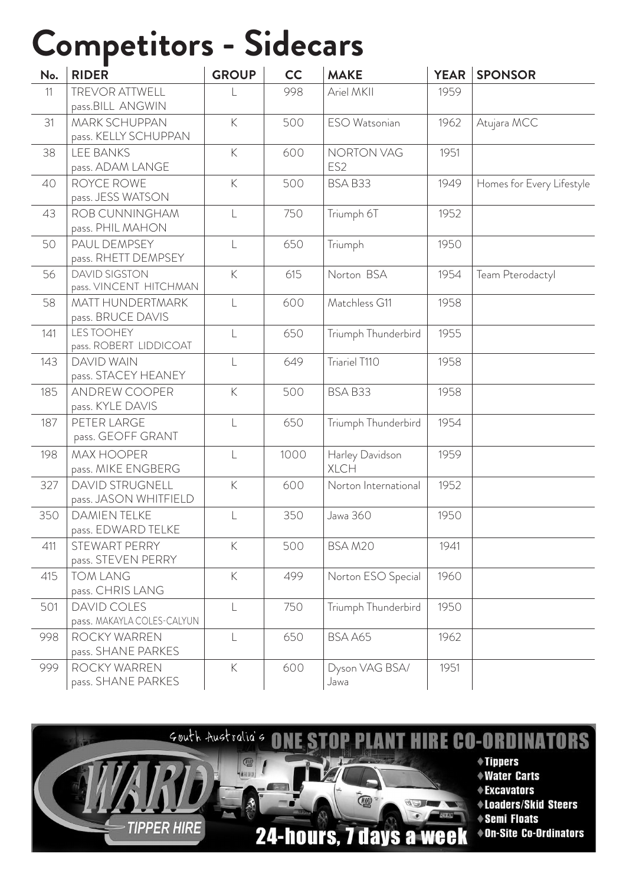#### **Competitors - Sidecars**

| No. | <b>RIDER</b>                                     | <b>GROUP</b>   | <b>CC</b> | <b>MAKE</b>                          | <b>YEAR</b> | <b>SPONSOR</b>            |
|-----|--------------------------------------------------|----------------|-----------|--------------------------------------|-------------|---------------------------|
| 11  | <b>TREVOR ATTWELL</b><br>pass.BILL ANGWIN        |                | 998       | Ariel MKII                           | 1959        |                           |
| 31  | <b>MARK SCHUPPAN</b><br>pass. KELLY SCHUPPAN     | K              | 500       | ESO Watsonian                        | 1962        | Atujara MCC               |
| 38  | <b>LEE BANKS</b><br>pass. ADAM LANGE             | K              | 600       | <b>NORTON VAG</b><br>ES <sub>2</sub> | 1951        |                           |
| 40  | ROYCE ROWE<br>pass. JESS WATSON                  | $\mathsf K$    | 500       | BSA B33                              | 1949        | Homes for Every Lifestyle |
| 43  | ROB CUNNINGHAM<br>pass. PHIL MAHON               | $\mathsf{L}$   | 750       | Triumph 6T                           | 1952        |                           |
| 50  | PAUL DEMPSEY<br>pass. RHETT DEMPSEY              | $\mathsf L$    | 650       | Triumph                              | 1950        |                           |
| 56  | <b>DAVID SIGSTON</b><br>pass. VINCENT HITCHMAN   | $\mathsf K$    | 615       | Norton BSA                           | 1954        | Team Pterodactyl          |
| 58  | <b>MATT HUNDERTMARK</b><br>pass. BRUCE DAVIS     | $\mathsf{L}$   | 600       | Matchless G11                        | 1958        |                           |
| 141 | <b>LES TOOHEY</b><br>pass. ROBERT LIDDICOAT      | $\lfloor$      | 650       | Triumph Thunderbird                  | 1955        |                           |
| 143 | <b>DAVID WAIN</b><br>pass. STACEY HEANEY         |                | 649       | Triariel T110                        | 1958        |                           |
| 185 | <b>ANDREW COOPER</b><br>pass. KYLE DAVIS         | $\overline{K}$ | 500       | BSA B33                              | 1958        |                           |
| 187 | PETER LARGE<br>pass. GEOFF GRANT                 | $\mathsf{L}$   | 650       | Triumph Thunderbird                  | 1954        |                           |
| 198 | <b>MAX HOOPER</b><br>pass. MIKE ENGBERG          | $\mathsf{L}$   | 1000      | Harley Davidson<br><b>XLCH</b>       | 1959        |                           |
| 327 | <b>DAVID STRUGNELL</b><br>pass. JASON WHITFIELD  | $\mathsf{K}$   | 600       | Norton International                 | 1952        |                           |
| 350 | <b>DAMIEN TELKE</b><br>pass. EDWARD TELKE        | $\lfloor$      | 350       | Jawa 360                             | 1950        |                           |
| 411 | STEWART PERRY<br>pass. STEVEN PERRY              | K              | 500       | BSA M20                              | 1941        |                           |
| 415 | <b>TOM LANG</b><br>pass. CHRIS LANG              | K              | 499       | Norton ESO Special                   | 1960        |                           |
| 501 | <b>DAVID COLES</b><br>pass. MAKAYLA COLES-CALYUN |                | 750       | Triumph Thunderbird                  | 1950        |                           |
| 998 | ROCKY WARREN<br>pass. SHANE PARKES               | $\lfloor$      | 650       | BSA A65                              | 1962        |                           |
| 999 | ROCKY WARREN<br>pass. SHANE PARKES               | K              | 600       | Dyson VAG BSA/<br>Jawa               | 1951        |                           |

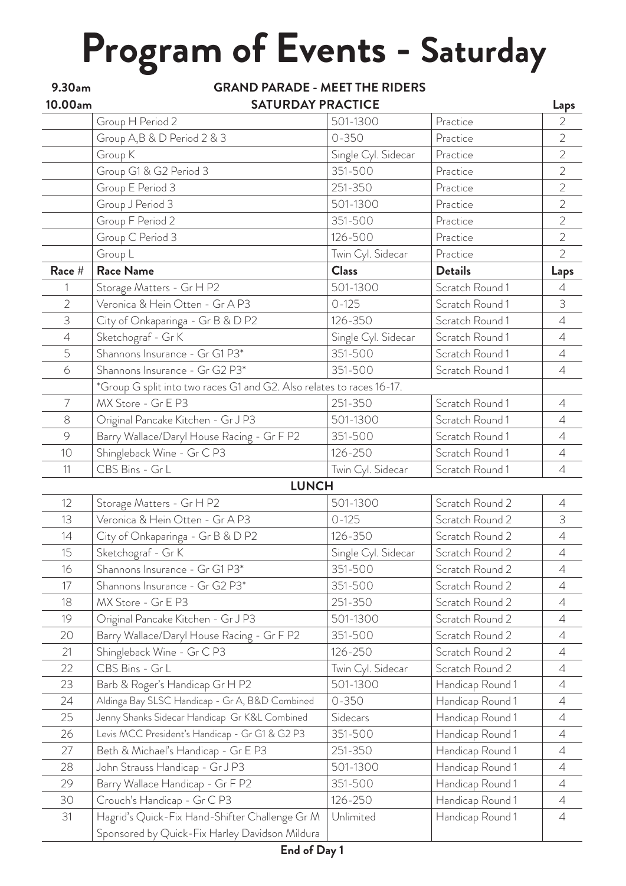## **Program of Events - Saturday**

| 9.30am         | <b>GRAND PARADE - MEET THE RIDERS</b>                                 |                     |                  |                |  |  |  |  |  |
|----------------|-----------------------------------------------------------------------|---------------------|------------------|----------------|--|--|--|--|--|
| 10.00am        | <b>SATURDAY PRACTICE</b>                                              |                     |                  |                |  |  |  |  |  |
|                | Group H Period 2                                                      | 501-1300            | Practice         | $\overline{2}$ |  |  |  |  |  |
|                | Group A, B & D Period 2 & 3                                           | $0 - 350$           | Practice         | $\overline{2}$ |  |  |  |  |  |
|                | Group K                                                               | Single Cyl. Sidecar | Practice         | $\overline{2}$ |  |  |  |  |  |
|                | Group G1 & G2 Period 3                                                | 351-500             | Practice         | $\overline{2}$ |  |  |  |  |  |
|                | Group E Period 3                                                      | 251-350             | Practice         | $\overline{2}$ |  |  |  |  |  |
|                | Group J Period 3                                                      | 501-1300            | Practice         | $\overline{2}$ |  |  |  |  |  |
|                | Group F Period 2                                                      | 351-500             | Practice         | $\overline{2}$ |  |  |  |  |  |
|                | Group C Period 3                                                      | 126-500             | Practice         | $\overline{2}$ |  |  |  |  |  |
|                | Group L                                                               | Twin Cyl. Sidecar   | Practice         | $\overline{2}$ |  |  |  |  |  |
| Race #         | <b>Race Name</b>                                                      | <b>Class</b>        | <b>Details</b>   | Laps           |  |  |  |  |  |
| 1              | Storage Matters - Gr H P2                                             | 501-1300            | Scratch Round 1  | $\overline{4}$ |  |  |  |  |  |
| $\overline{2}$ | Veronica & Hein Otten - Gr A P3                                       | $0 - 125$           | Scratch Round 1  | $\mathfrak{Z}$ |  |  |  |  |  |
| 3              | City of Onkaparinga - Gr B & D P2                                     | 126-350             | Scratch Round 1  | $\overline{4}$ |  |  |  |  |  |
| $\varDelta$    | Sketchograf - Gr K                                                    | Single Cyl. Sidecar | Scratch Round 1  | $\overline{4}$ |  |  |  |  |  |
| 5              | Shannons Insurance - Gr G1 P3*                                        | 351-500             | Scratch Round 1  | $\overline{4}$ |  |  |  |  |  |
| 6              | Shannons Insurance - Gr G2 P3*                                        | 351-500             | Scratch Round 1  | $\overline{4}$ |  |  |  |  |  |
|                | *Group G split into two races G1 and G2. Also relates to races 16-17. |                     |                  |                |  |  |  |  |  |
| $\overline{7}$ | MX Store - Gr E P3                                                    | 251-350             | Scratch Round 1  | $\overline{4}$ |  |  |  |  |  |
| $8\,$          | Original Pancake Kitchen - Gr J P3                                    | 501-1300            | Scratch Round 1  | $\overline{4}$ |  |  |  |  |  |
| $\circ$        | Barry Wallace/Daryl House Racing - Gr F P2                            | 351-500             | Scratch Round 1  | $\overline{4}$ |  |  |  |  |  |
| 10             | Shingleback Wine - Gr C P3                                            | 126-250             | Scratch Round 1  | $\overline{4}$ |  |  |  |  |  |
| 11             | CBS Bins - Gr L                                                       | Twin Cyl. Sidecar   | Scratch Round 1  | $\overline{4}$ |  |  |  |  |  |
|                | <b>LUNCH</b>                                                          |                     |                  |                |  |  |  |  |  |
| 12             | Storage Matters - Gr H P2                                             | 501-1300            | Scratch Round 2  | $\overline{4}$ |  |  |  |  |  |
| 13             | Veronica & Hein Otten - Gr A P3                                       | $0 - 125$           | Scratch Round 2  | 3              |  |  |  |  |  |
| 14             | City of Onkaparinga - Gr B & D P2                                     | 126-350             | Scratch Round 2  | $\overline{4}$ |  |  |  |  |  |
| 15             | Sketchograf - Gr K                                                    | Single Cyl. Sidecar | Scratch Round 2  | $\overline{4}$ |  |  |  |  |  |
| 16             | Shannons Insurance - Gr G1 P3*                                        | 351-500             | Scratch Round 2  | $\overline{4}$ |  |  |  |  |  |
| 17             | Shannons Insurance - Gr G2 P3*                                        | 351-500             | Scratch Round 2  | $\overline{A}$ |  |  |  |  |  |
| 18             | MX Store - Gr E P3                                                    | 251-350             | Scratch Round 2  | 4              |  |  |  |  |  |
| 19             | Original Pancake Kitchen - Gr J P3                                    | 501-1300            | Scratch Round 2  | $\overline{4}$ |  |  |  |  |  |
| 20             | Barry Wallace/Daryl House Racing - Gr F P2                            | 351-500             | Scratch Round 2  | $\overline{4}$ |  |  |  |  |  |
| 21             | Shingleback Wine - Gr C P3                                            | 126-250             | Scratch Round 2  | $\overline{4}$ |  |  |  |  |  |
| 22             | CBS Bins - Gr L                                                       | Twin Cyl. Sidecar   | Scratch Round 2  | $\overline{4}$ |  |  |  |  |  |
| 23             | Barb & Roger's Handicap Gr H P2                                       | 501-1300            | Handicap Round 1 | $\overline{A}$ |  |  |  |  |  |
| 24             | Aldinga Bay SLSC Handicap - Gr A, B&D Combined                        | $0 - 350$           | Handicap Round 1 | $\overline{4}$ |  |  |  |  |  |
| 25             | Jenny Shanks Sidecar Handicap Gr K&L Combined                         | Sidecars            | Handicap Round 1 | $\overline{A}$ |  |  |  |  |  |
| 26             | Levis MCC President's Handicap - Gr G1 & G2 P3                        | 351-500             | Handicap Round 1 | $\overline{4}$ |  |  |  |  |  |
| 27             | Beth & Michael's Handicap - Gr E P3                                   | 251-350             | Handicap Round 1 | $\overline{4}$ |  |  |  |  |  |
| 28             | John Strauss Handicap - Gr J P3                                       | 501-1300            | Handicap Round 1 | $\overline{4}$ |  |  |  |  |  |
| 29             | Barry Wallace Handicap - Gr F P2                                      | 351-500             | Handicap Round 1 | $\overline{4}$ |  |  |  |  |  |
| 30             | Crouch's Handicap - Gr C P3                                           | 126-250             | Handicap Round 1 | $\overline{4}$ |  |  |  |  |  |
| 31             | Hagrid's Quick-Fix Hand-Shifter Challenge Gr M                        | Unlimited           | Handicap Round 1 | $\overline{4}$ |  |  |  |  |  |
|                | Sponsored by Quick-Fix Harley Davidson Mildura                        |                     |                  |                |  |  |  |  |  |
|                |                                                                       |                     |                  |                |  |  |  |  |  |